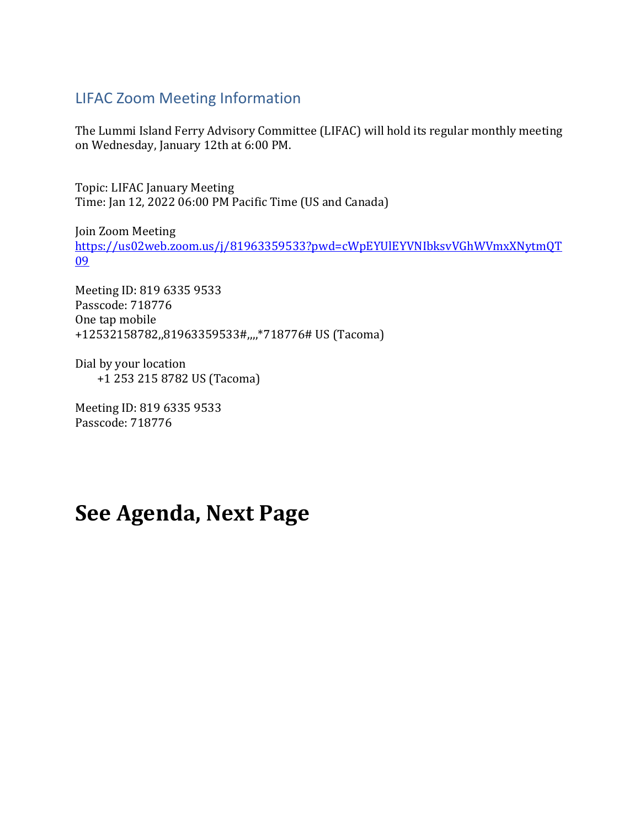# LIFAC Zoom Meeting Information

The Lummi Island Ferry Advisory Committee (LIFAC) will hold its regular monthly meeting on Wednesday, January 12th at 6:00 PM.

Topic: LIFAC January Meeting Time: Jan 12, 2022 06:00 PM Pacific Time (US and Canada)

Join Zoom Meeting [https://us02web.zoom.us/j/81963359533?pwd=cWpEYUlEYVNIbksvVGhWVmxXNytmQT](https://nam11.safelinks.protection.outlook.com/?url=https%3A%2F%2Fus02web.zoom.us%2Fj%2F81963359533%3Fpwd%3DcWpEYUlEYVNIbksvVGhWVmxXNytmQT09&data=04%7C01%7Cjnixon%40co.whatcom.wa.us%7C5c05a9a3b196464782ae08d9d4054488%7C2122bbce9a1d4565931b0c534ef12e43%7C0%7C1%7C637773941392690497%7CUnknown%7CTWFpbGZsb3d8eyJWIjoiMC4wLjAwMDAiLCJQIjoiV2luMzIiLCJBTiI6Ik1haWwiLCJXVCI6Mn0%3D%7C2000&sdata=bjHCVOZq187mNYQx9wn5yQgbgfeKYEB5nlzr6kYaCow%3D&reserved=0) [09](https://nam11.safelinks.protection.outlook.com/?url=https%3A%2F%2Fus02web.zoom.us%2Fj%2F81963359533%3Fpwd%3DcWpEYUlEYVNIbksvVGhWVmxXNytmQT09&data=04%7C01%7Cjnixon%40co.whatcom.wa.us%7C5c05a9a3b196464782ae08d9d4054488%7C2122bbce9a1d4565931b0c534ef12e43%7C0%7C1%7C637773941392690497%7CUnknown%7CTWFpbGZsb3d8eyJWIjoiMC4wLjAwMDAiLCJQIjoiV2luMzIiLCJBTiI6Ik1haWwiLCJXVCI6Mn0%3D%7C2000&sdata=bjHCVOZq187mNYQx9wn5yQgbgfeKYEB5nlzr6kYaCow%3D&reserved=0)

Meeting ID: 819 6335 9533 Passcode: 718776 One tap mobile +12532158782,,81963359533#,,,,\*718776# US (Tacoma)

Dial by your location +1 253 215 8782 US (Tacoma)

Meeting ID: 819 6335 9533 Passcode: 718776

# **See Agenda, Next Page**